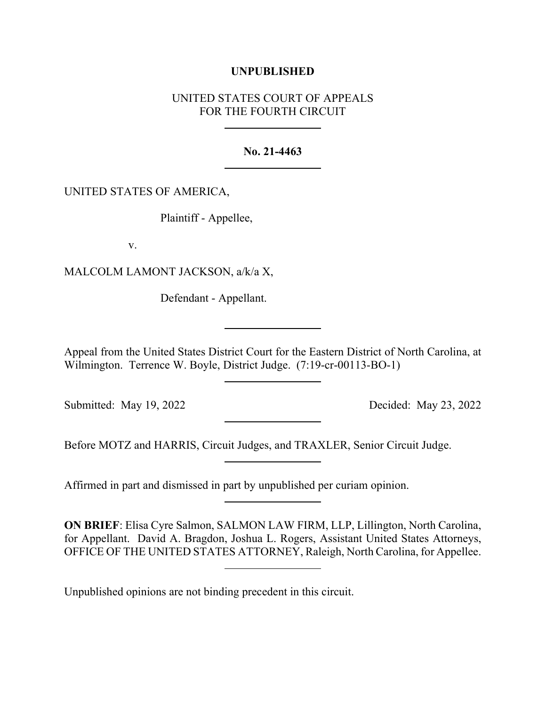# **UNPUBLISHED**

# UNITED STATES COURT OF APPEALS FOR THE FOURTH CIRCUIT

#### **No. 21-4463**

### UNITED STATES OF AMERICA,

Plaintiff - Appellee,

v.

MALCOLM LAMONT JACKSON, a/k/a X,

Defendant - Appellant.

Appeal from the United States District Court for the Eastern District of North Carolina, at Wilmington. Terrence W. Boyle, District Judge. (7:19-cr-00113-BO-1)

Submitted: May 19, 2022 Decided: May 23, 2022

Before MOTZ and HARRIS, Circuit Judges, and TRAXLER, Senior Circuit Judge.

Affirmed in part and dismissed in part by unpublished per curiam opinion.

**ON BRIEF**: Elisa Cyre Salmon, SALMON LAW FIRM, LLP, Lillington, North Carolina, for Appellant. David A. Bragdon, Joshua L. Rogers, Assistant United States Attorneys, OFFICE OF THE UNITED STATES ATTORNEY, Raleigh, North Carolina, for Appellee.

Unpublished opinions are not binding precedent in this circuit.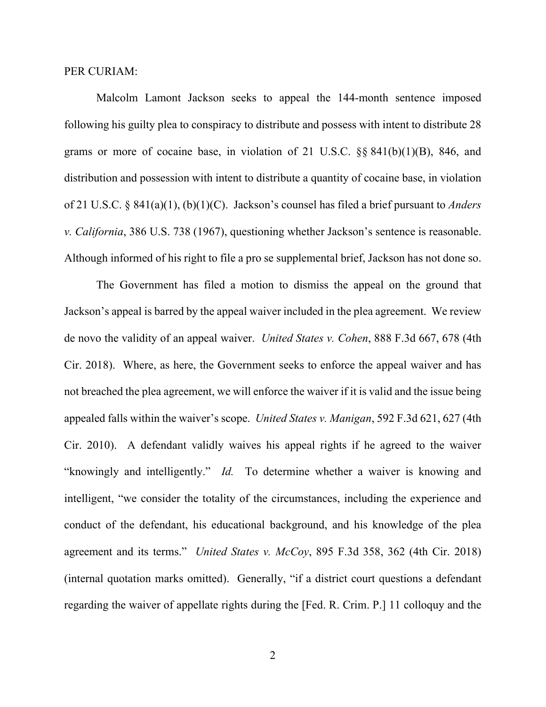## PER CURIAM:

Malcolm Lamont Jackson seeks to appeal the 144-month sentence imposed following his guilty plea to conspiracy to distribute and possess with intent to distribute 28 grams or more of cocaine base, in violation of 21 U.S.C. §§ 841(b)(1)(B), 846, and distribution and possession with intent to distribute a quantity of cocaine base, in violation of 21 U.S.C. § 841(a)(1), (b)(1)(C). Jackson's counsel has filed a brief pursuant to *Anders v. California*, 386 U.S. 738 (1967), questioning whether Jackson's sentence is reasonable. Although informed of his right to file a pro se supplemental brief, Jackson has not done so.

The Government has filed a motion to dismiss the appeal on the ground that Jackson's appeal is barred by the appeal waiver included in the plea agreement. We review de novo the validity of an appeal waiver. *United States v. Cohen*, 888 F.3d 667, 678 (4th Cir. 2018). Where, as here, the Government seeks to enforce the appeal waiver and has not breached the plea agreement, we will enforce the waiver if it is valid and the issue being appealed falls within the waiver's scope. *United States v. Manigan*, 592 F.3d 621, 627 (4th Cir. 2010). A defendant validly waives his appeal rights if he agreed to the waiver "knowingly and intelligently." *Id.* To determine whether a waiver is knowing and intelligent, "we consider the totality of the circumstances, including the experience and conduct of the defendant, his educational background, and his knowledge of the plea agreement and its terms." *United States v. McCoy*, 895 F.3d 358, 362 (4th Cir. 2018) (internal quotation marks omitted). Generally, "if a district court questions a defendant regarding the waiver of appellate rights during the [Fed. R. Crim. P.] 11 colloquy and the